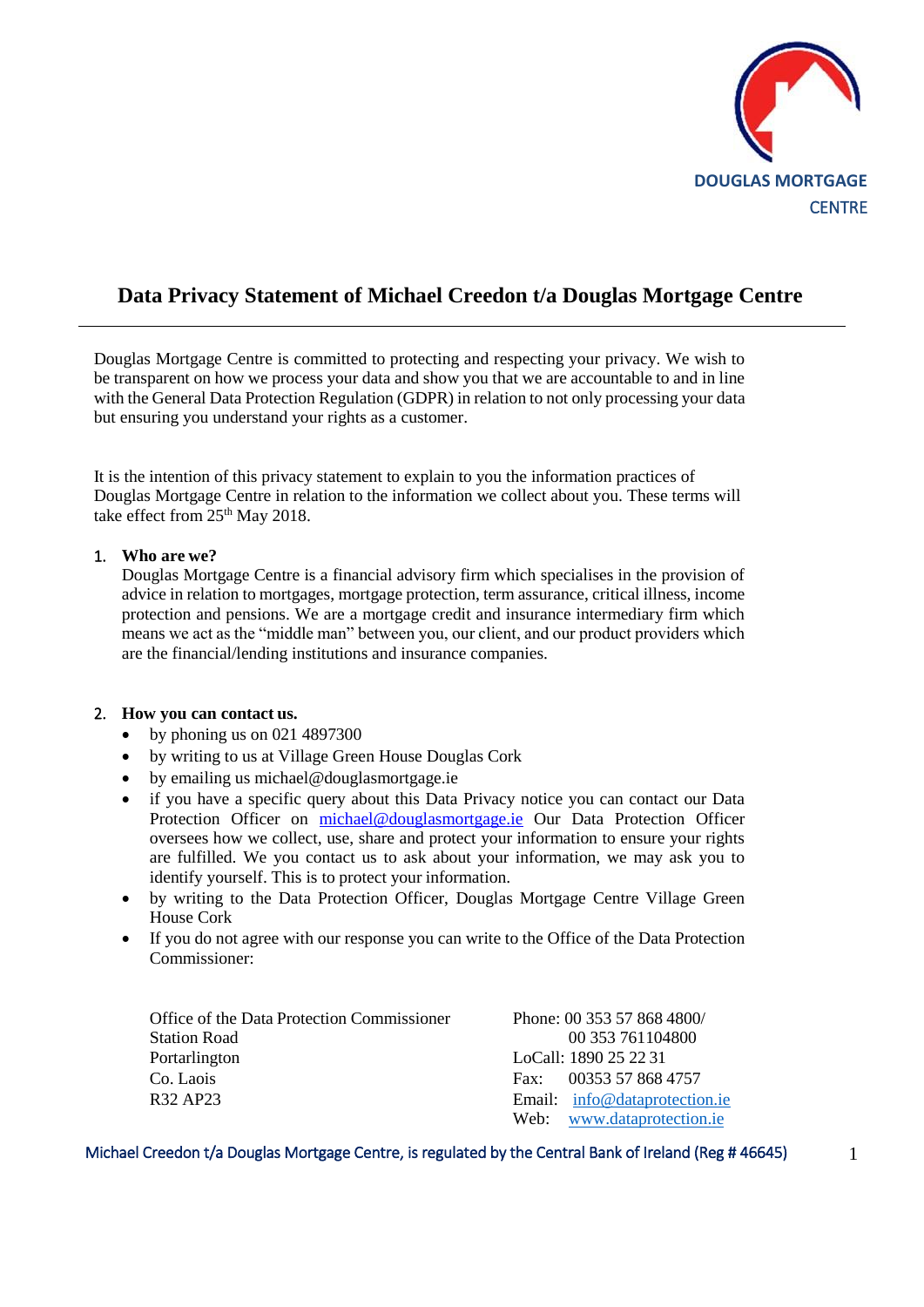

# **Data Privacy Statement of Michael Creedon t/a Douglas Mortgage Centre**

Douglas Mortgage Centre is committed to protecting and respecting your privacy. We wish to be transparent on how we process your data and show you that we are accountable to and in line with the General Data Protection Regulation (GDPR) in relation to not only processing your data but ensuring you understand your rights as a customer.

It is the intention of this privacy statement to explain to you the information practices of Douglas Mortgage Centre in relation to the information we collect about you. These terms will take effect from 25<sup>th</sup> May 2018.

# 1. **Who are we?**

Douglas Mortgage Centre is a financial advisory firm which specialises in the provision of advice in relation to mortgages, mortgage protection, term assurance, critical illness, income protection and pensions. We are a mortgage credit and insurance intermediary firm which means we act as the "middle man" between you, our client, and our product providers which are the financial/lending institutions and insurance companies.

### 2. **How you can contact us.**

- by phoning us on 021 4897300
- by writing to us at Village Green House Douglas Cork
- by emailing us michael@douglasmortgage.ie
- if you have a specific query about this Data Privacy notice you can contact our Data Protection Officer on [michael@douglasmortgage.ie](mailto:michael@douglasmortgage.ie) Our Data Protection Officer oversees how we collect, use, share and protect your information to ensure your rights are fulfilled. We you contact us to ask about your information, we may ask you to identify yourself. This is to protect your information.
- by writing to the Data Protection Officer, Douglas Mortgage Centre Village Green House Cork
- If you do not agree with our response you can write to the Office of the Data Protection Commissioner:

| Office of the Data Protection Commissioner | Phone: 00 353 57 868 4800/    |
|--------------------------------------------|-------------------------------|
| <b>Station Road</b>                        | 00 353 761104800              |
| Portarlington                              | LoCall: 1890 25 22 31         |
| Co. Laois                                  | Fax: 00353 57 868 4757        |
| R32 AP23                                   | Email: info@dataprotection.ie |
|                                            | Web: www.dataprotection.ie    |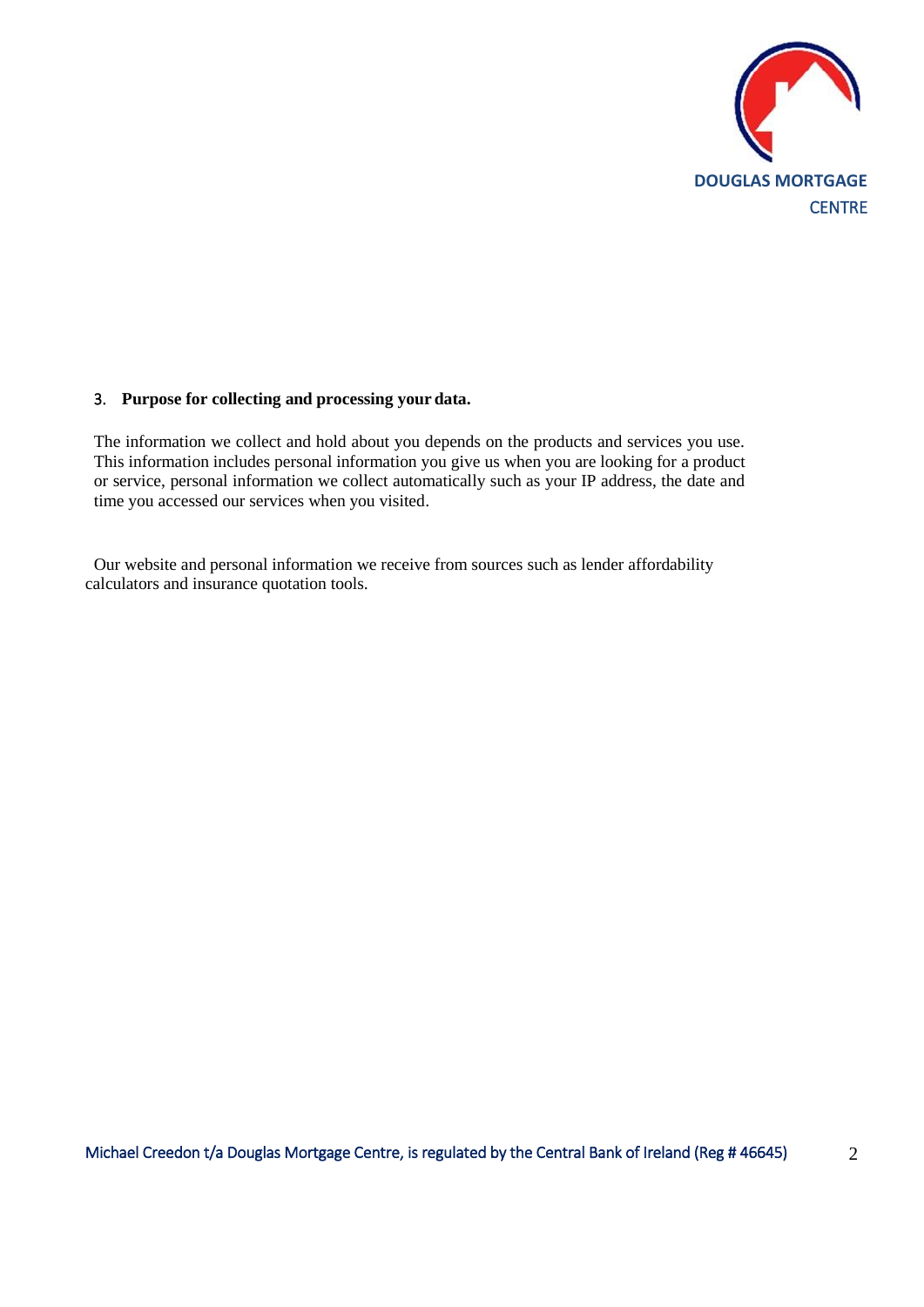

# 3. **Purpose for collecting and processing your data.**

The information we collect and hold about you depends on the products and services you use. This information includes personal information you give us when you are looking for a product or service, personal information we collect automatically such as your IP address, the date and time you accessed our services when you visited.

 Our website and personal information we receive from sources such as lender affordability calculators and insurance quotation tools.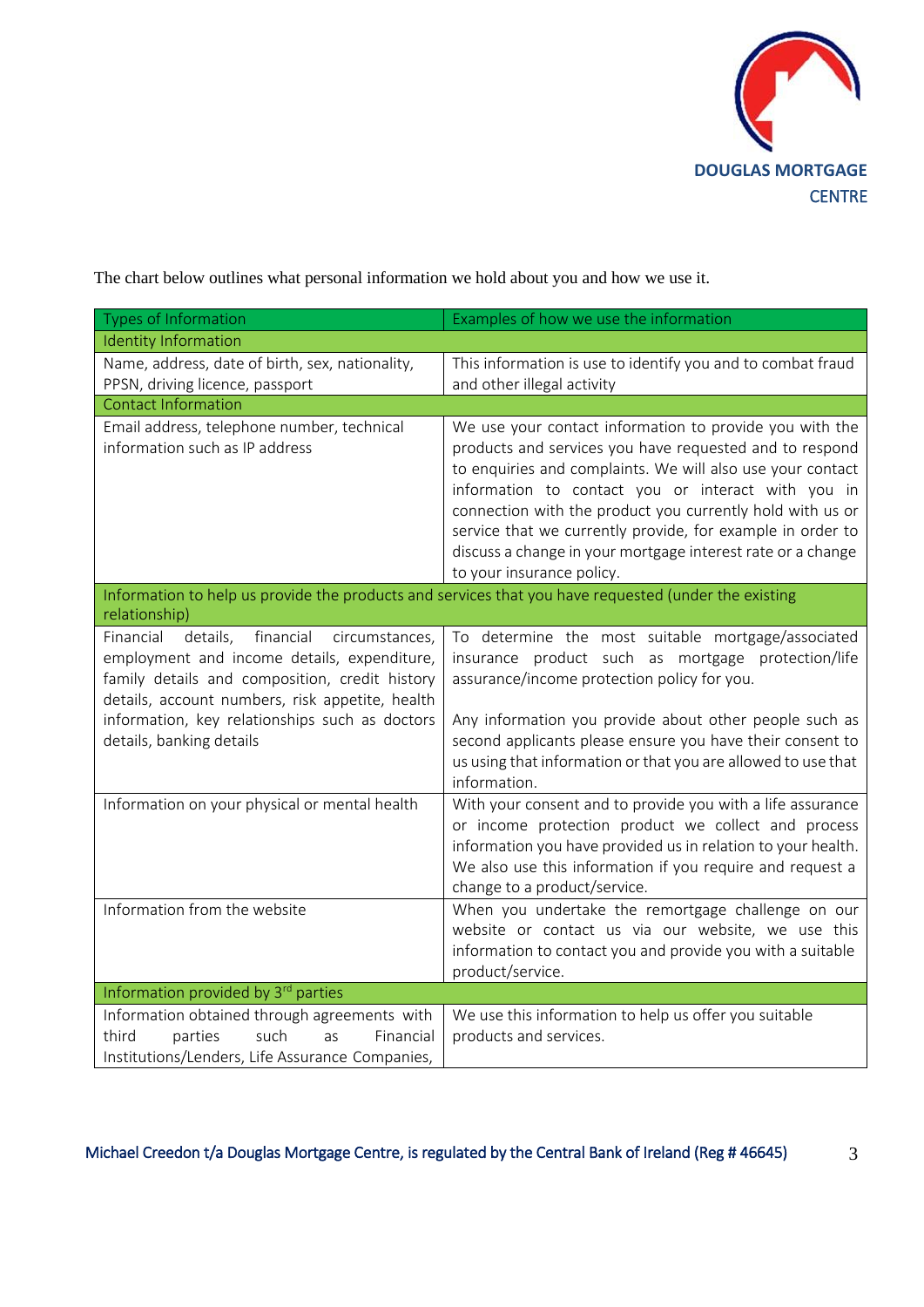

The chart below outlines what personal information we hold about you and how we use it.

| <b>Types of Information</b>                                                                                                                                                                                                                                                            | Examples of how we use the information                                                                                                                                                                                                                                                                                                                                                                                                                        |  |
|----------------------------------------------------------------------------------------------------------------------------------------------------------------------------------------------------------------------------------------------------------------------------------------|---------------------------------------------------------------------------------------------------------------------------------------------------------------------------------------------------------------------------------------------------------------------------------------------------------------------------------------------------------------------------------------------------------------------------------------------------------------|--|
| Identity Information                                                                                                                                                                                                                                                                   |                                                                                                                                                                                                                                                                                                                                                                                                                                                               |  |
| Name, address, date of birth, sex, nationality,                                                                                                                                                                                                                                        | This information is use to identify you and to combat fraud                                                                                                                                                                                                                                                                                                                                                                                                   |  |
| PPSN, driving licence, passport                                                                                                                                                                                                                                                        | and other illegal activity                                                                                                                                                                                                                                                                                                                                                                                                                                    |  |
| <b>Contact Information</b>                                                                                                                                                                                                                                                             |                                                                                                                                                                                                                                                                                                                                                                                                                                                               |  |
| Email address, telephone number, technical<br>information such as IP address                                                                                                                                                                                                           | We use your contact information to provide you with the<br>products and services you have requested and to respond<br>to enquiries and complaints. We will also use your contact<br>information to contact you or interact with you in<br>connection with the product you currently hold with us or<br>service that we currently provide, for example in order to<br>discuss a change in your mortgage interest rate or a change<br>to your insurance policy. |  |
| Information to help us provide the products and services that you have requested (under the existing<br>relationship)                                                                                                                                                                  |                                                                                                                                                                                                                                                                                                                                                                                                                                                               |  |
| Financial<br>details,<br>financial<br>circumstances,<br>employment and income details, expenditure,<br>family details and composition, credit history<br>details, account numbers, risk appetite, health<br>information, key relationships such as doctors<br>details, banking details | To determine the most suitable mortgage/associated<br>insurance product such as mortgage protection/life<br>assurance/income protection policy for you.<br>Any information you provide about other people such as<br>second applicants please ensure you have their consent to<br>us using that information or that you are allowed to use that<br>information.                                                                                               |  |
| Information on your physical or mental health                                                                                                                                                                                                                                          | With your consent and to provide you with a life assurance<br>or income protection product we collect and process<br>information you have provided us in relation to your health.<br>We also use this information if you require and request a<br>change to a product/service.                                                                                                                                                                                |  |
| Information from the website                                                                                                                                                                                                                                                           | When you undertake the remortgage challenge on our<br>website or contact us via our website, we use this<br>information to contact you and provide you with a suitable<br>product/service.                                                                                                                                                                                                                                                                    |  |
| Information provided by 3 <sup>rd</sup> parties                                                                                                                                                                                                                                        |                                                                                                                                                                                                                                                                                                                                                                                                                                                               |  |
| Information obtained through agreements with<br>third<br>parties<br>such<br>Financial<br>as<br>Institutions/Lenders, Life Assurance Companies,                                                                                                                                         | We use this information to help us offer you suitable<br>products and services.                                                                                                                                                                                                                                                                                                                                                                               |  |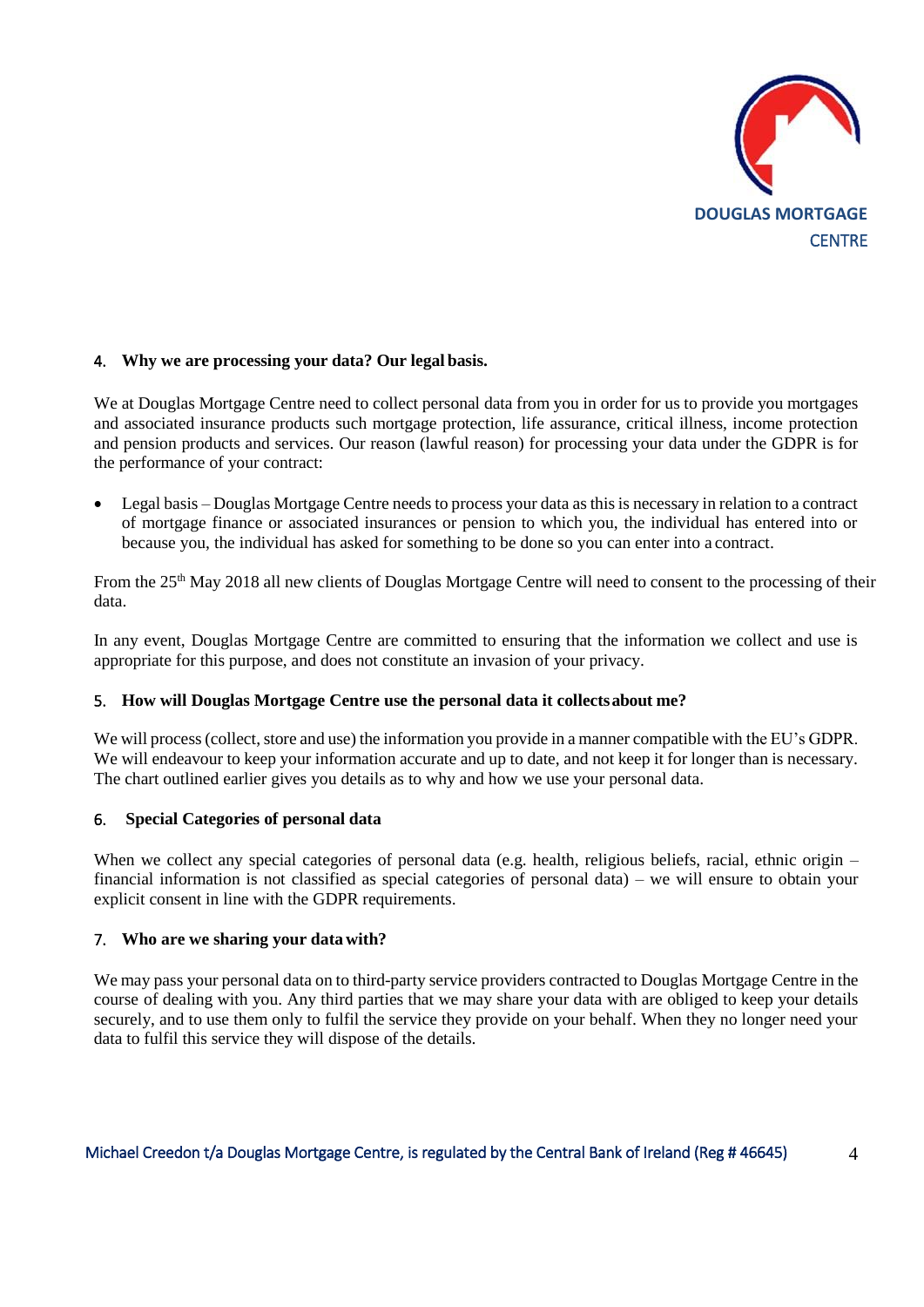

### 4. **Why we are processing your data? Our legal basis.**

We at Douglas Mortgage Centre need to collect personal data from you in order for us to provide you mortgages and associated insurance products such mortgage protection, life assurance, critical illness, income protection and pension products and services. Our reason (lawful reason) for processing your data under the GDPR is for the performance of your contract:

 Legal basis – Douglas Mortgage Centre needs to process your data as this is necessary in relation to a contract of mortgage finance or associated insurances or pension to which you, the individual has entered into or because you, the individual has asked for something to be done so you can enter into a contract.

From the 25<sup>th</sup> May 2018 all new clients of Douglas Mortgage Centre will need to consent to the processing of their data.

In any event, Douglas Mortgage Centre are committed to ensuring that the information we collect and use is appropriate for this purpose, and does not constitute an invasion of your privacy.

### 5. **How will Douglas Mortgage Centre use the personal data it collectsabout me?**

We will process (collect, store and use) the information you provide in a manner compatible with the EU's GDPR. We will endeavour to keep your information accurate and up to date, and not keep it for longer than is necessary. The chart outlined earlier gives you details as to why and how we use your personal data.

### 6. **Special Categories of personal data**

When we collect any special categories of personal data (e.g. health, religious beliefs, racial, ethnic origin – financial information is not classified as special categories of personal data) – we will ensure to obtain your explicit consent in line with the GDPR requirements.

### 7. **Who are we sharing your data with?**

We may pass your personal data on to third-party service providers contracted to Douglas Mortgage Centre in the course of dealing with you. Any third parties that we may share your data with are obliged to keep your details securely, and to use them only to fulfil the service they provide on your behalf. When they no longer need your data to fulfil this service they will dispose of the details.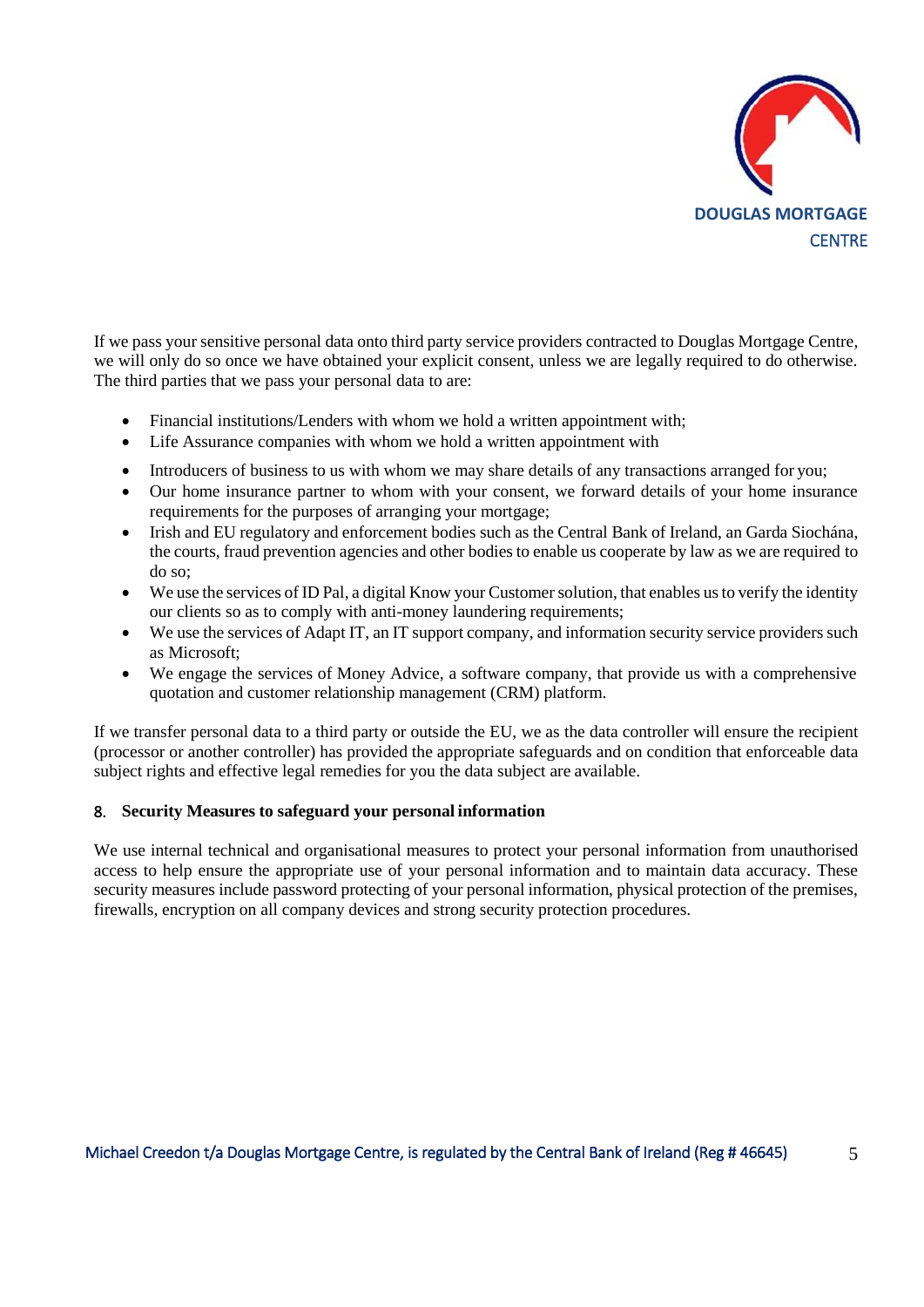

If we pass your sensitive personal data onto third party service providers contracted to Douglas Mortgage Centre, we will only do so once we have obtained your explicit consent, unless we are legally required to do otherwise. The third parties that we pass your personal data to are:

- Financial institutions/Lenders with whom we hold a written appointment with;
- Life Assurance companies with whom we hold a written appointment with
- Introducers of business to us with whom we may share details of any transactions arranged for you;
- Our home insurance partner to whom with your consent, we forward details of your home insurance requirements for the purposes of arranging your mortgage;
- Irish and EU regulatory and enforcement bodies such as the Central Bank of Ireland, an Garda Siochána, the courts, fraud prevention agencies and other bodies to enable us cooperate by law as we are required to do so;
- We use the services of ID Pal, a digital Know your Customersolution, that enables usto verify the identity our clients so as to comply with anti-money laundering requirements;
- We use the services of Adapt IT, an IT support company, and information security service providers such as Microsoft;
- We engage the services of Money Advice, a software company, that provide us with a comprehensive quotation and customer relationship management (CRM) platform.

If we transfer personal data to a third party or outside the EU, we as the data controller will ensure the recipient (processor or another controller) has provided the appropriate safeguards and on condition that enforceable data subject rights and effective legal remedies for you the data subject are available.

### 8. **Security Measures to safeguard your personal information**

We use internal technical and organisational measures to protect your personal information from unauthorised access to help ensure the appropriate use of your personal information and to maintain data accuracy. These security measures include password protecting of your personal information, physical protection of the premises, firewalls, encryption on all company devices and strong security protection procedures.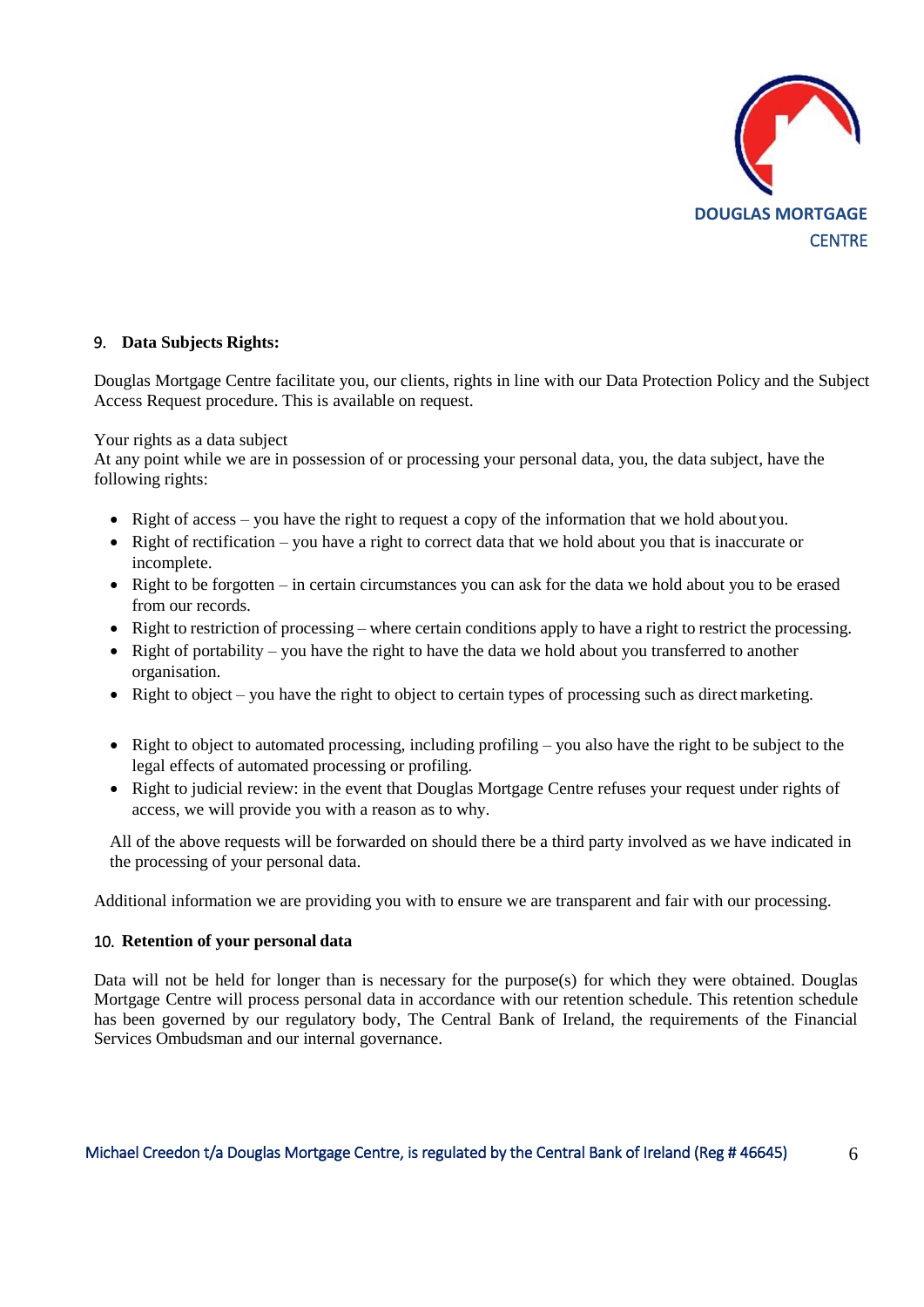

# 9. **Data Subjects Rights:**

Douglas Mortgage Centre facilitate you, our clients, rights in line with our Data Protection Policy and the Subject Access Request procedure. This is available on request.

Your rights as a data subject

At any point while we are in possession of or processing your personal data, you, the data subject, have the following rights:

- Right of access you have the right to request a copy of the information that we hold about you.
- Right of rectification you have a right to correct data that we hold about you that is inaccurate or incomplete.
- Right to be forgotten in certain circumstances you can ask for the data we hold about you to be erased from our records.
- Right to restriction of processing where certain conditions apply to have a right to restrict the processing.
- Right of portability you have the right to have the data we hold about you transferred to another organisation.
- Right to object you have the right to object to certain types of processing such as direct marketing.
- Right to object to automated processing, including profiling you also have the right to be subject to the legal effects of automated processing or profiling.
- Right to judicial review: in the event that Douglas Mortgage Centre refuses your request under rights of access, we will provide you with a reason as to why.

All of the above requests will be forwarded on should there be a third party involved as we have indicated in the processing of your personal data.

Additional information we are providing you with to ensure we are transparent and fair with our processing.

### 10. **Retention of your personal data**

Data will not be held for longer than is necessary for the purpose(s) for which they were obtained. Douglas Mortgage Centre will process personal data in accordance with our retention schedule. This retention schedule has been governed by our regulatory body, The Central Bank of Ireland, the requirements of the Financial Services Ombudsman and our internal governance.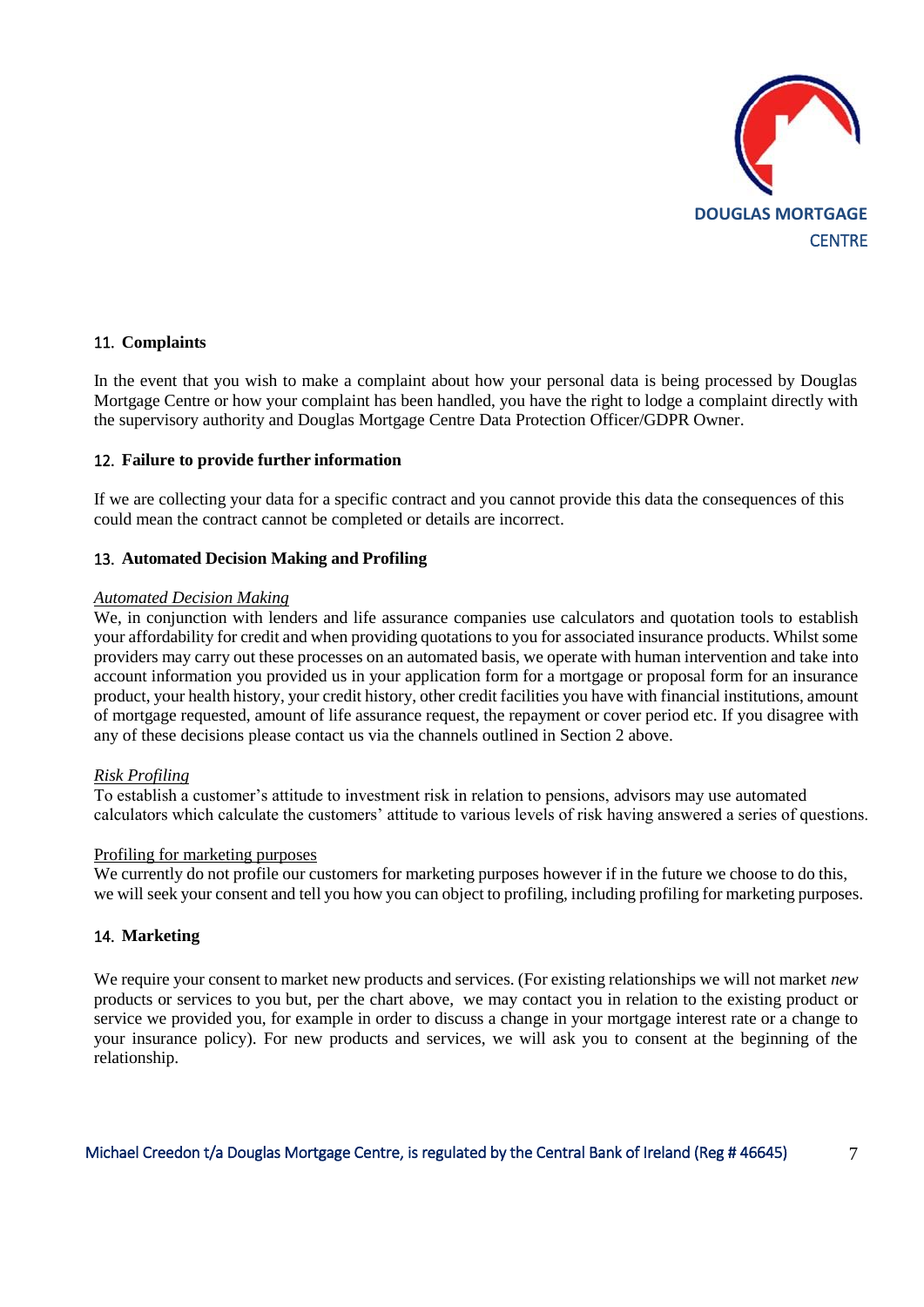

# 11. **Complaints**

In the event that you wish to make a complaint about how your personal data is being processed by Douglas Mortgage Centre or how your complaint has been handled, you have the right to lodge a complaint directly with the supervisory authority and Douglas Mortgage Centre Data Protection Officer/GDPR Owner.

### 12. **Failure to provide further information**

If we are collecting your data for a specific contract and you cannot provide this data the consequences of this could mean the contract cannot be completed or details are incorrect.

### 13. **Automated Decision Making and Profiling**

#### *Automated Decision Making*

We, in conjunction with lenders and life assurance companies use calculators and quotation tools to establish your affordability for credit and when providing quotations to you for associated insurance products. Whilst some providers may carry out these processes on an automated basis, we operate with human intervention and take into account information you provided us in your application form for a mortgage or proposal form for an insurance product, your health history, your credit history, other credit facilities you have with financial institutions, amount of mortgage requested, amount of life assurance request, the repayment or cover period etc. If you disagree with any of these decisions please contact us via the channels outlined in Section 2 above.

### *Risk Profiling*

To establish a customer's attitude to investment risk in relation to pensions, advisors may use automated calculators which calculate the customers' attitude to various levels of risk having answered a series of questions.

#### Profiling for marketing purposes

We currently do not profile our customers for marketing purposes however if in the future we choose to do this, we will seek your consent and tell you how you can object to profiling, including profiling for marketing purposes.

### 14. **Marketing**

We require your consent to market new products and services. (For existing relationships we will not market *new* products or services to you but, per the chart above, we may contact you in relation to the existing product or service we provided you, for example in order to discuss a change in your mortgage interest rate or a change to your insurance policy). For new products and services, we will ask you to consent at the beginning of the relationship.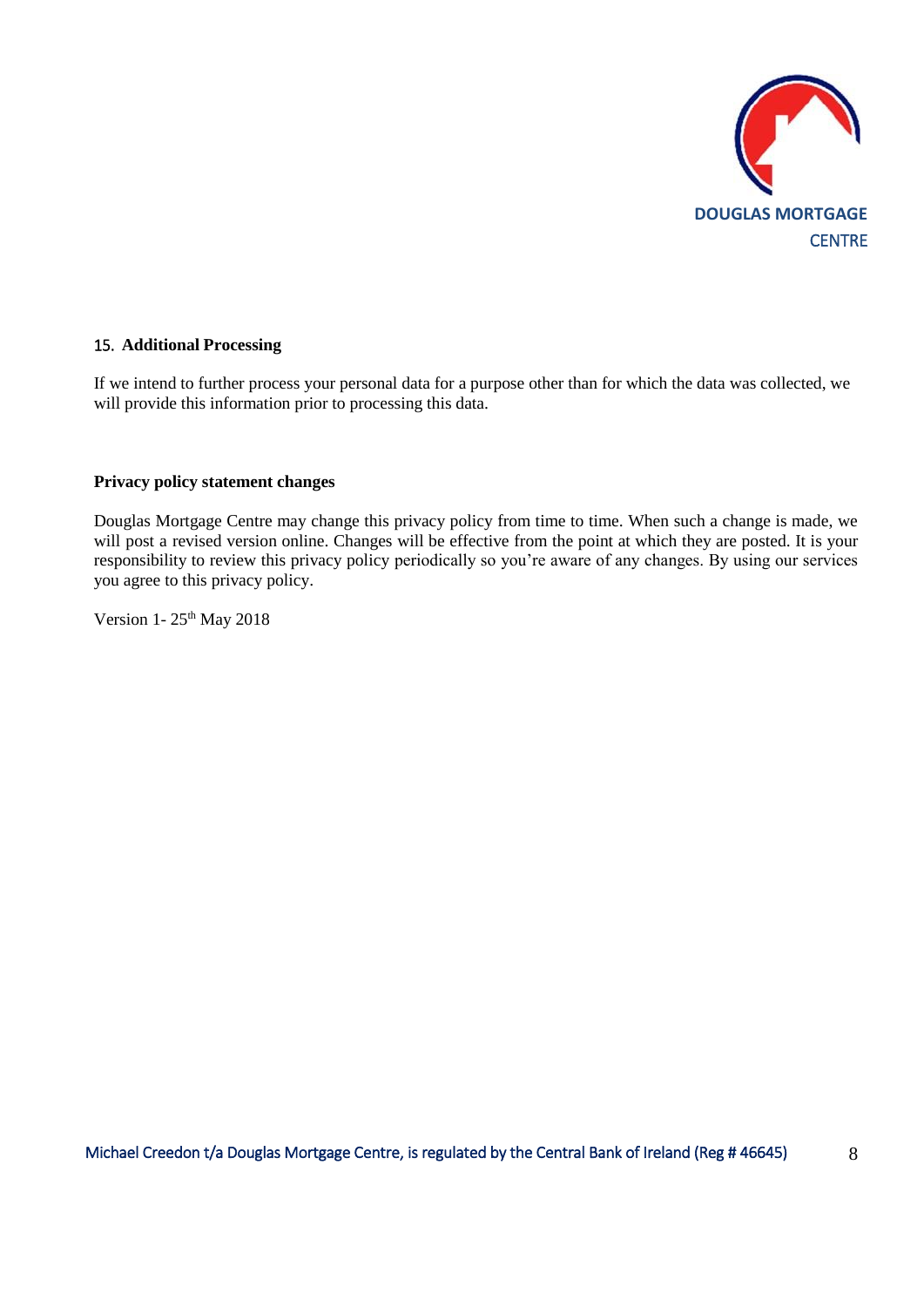

### 15. **Additional Processing**

If we intend to further process your personal data for a purpose other than for which the data was collected, we will provide this information prior to processing this data.

#### **Privacy policy statement changes**

Douglas Mortgage Centre may change this privacy policy from time to time. When such a change is made, we will post a revised version online. Changes will be effective from the point at which they are posted. It is your responsibility to review this privacy policy periodically so you're aware of any changes. By using our services you agree to this privacy policy.

Version 1- 25<sup>th</sup> May 2018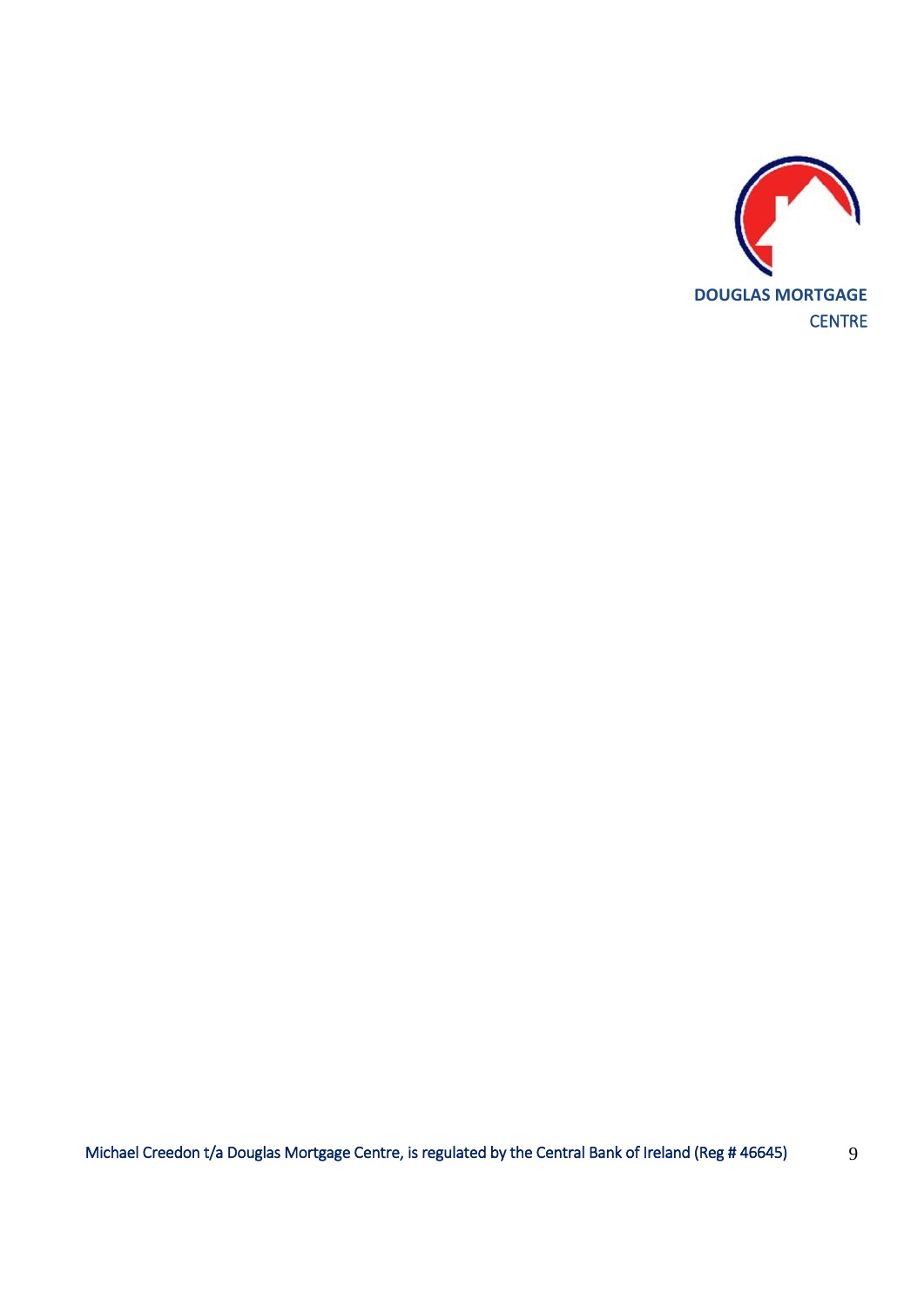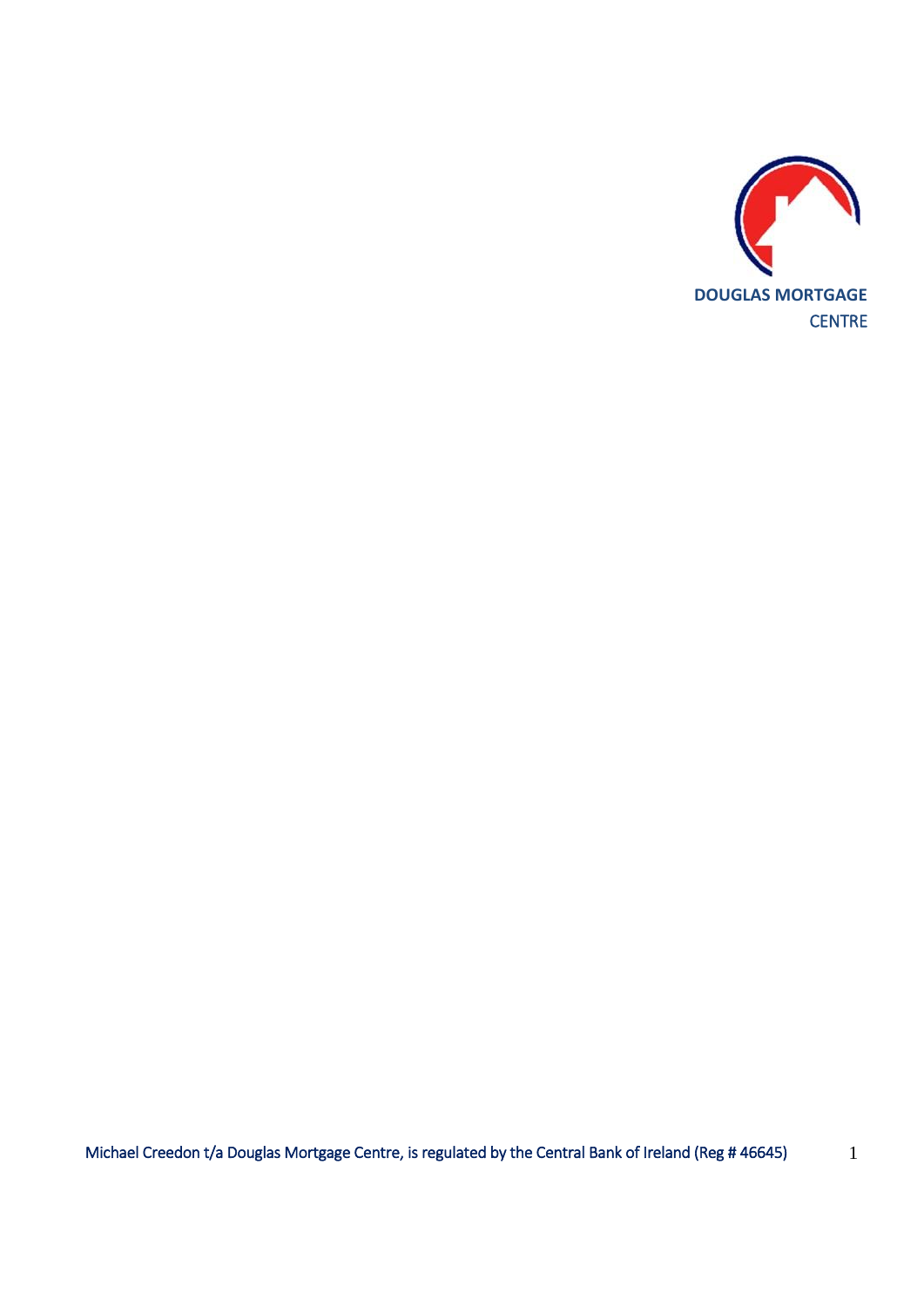